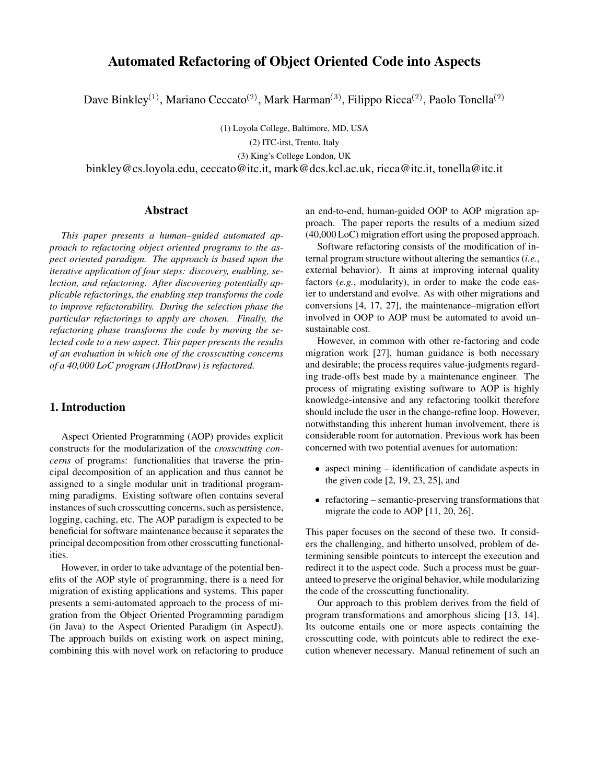# **Automated Refactoring of Object Oriented Code into Aspects**

Dave Binkley<sup>(1)</sup>, Mariano Ceccato<sup>(2)</sup>, Mark Harman<sup>(3)</sup>, Filippo Ricca<sup>(2)</sup>, Paolo Tonella<sup>(2)</sup>

(1) Loyola College, Baltimore, MD, USA (2) ITC-irst, Trento, Italy

(3) King's College London, UK

binkley@cs.loyola.edu, ceccato@itc.it, mark@dcs.kcl.ac.uk, ricca@itc.it, tonella@itc.it

### **Abstract**

*This paper presents a human–guided automated approach to refactoring object oriented programs to the aspect oriented paradigm. The approach is based upon the iterative application of four steps: discovery, enabling, selection, and refactoring. After discovering potentially applicable refactorings, the enabling step transforms the code to improve refactorability. During the selection phase the particular refactorings to apply are chosen. Finally, the refactoring phase transforms the code by moving the selected code to a new aspect. This paper presents the results of an evaluation in which one of the crosscutting concerns of a 40,000 LoC program (JHotDraw) is refactored.*

# **1. Introduction**

Aspect Oriented Programming (AOP) provides explicit constructs for the modularization of the *crosscutting concerns* of programs: functionalities that traverse the principal decomposition of an application and thus cannot be assigned to a single modular unit in traditional programming paradigms. Existing software often contains several instances of such crosscutting concerns, such as persistence, logging, caching, etc. The AOP paradigm is expected to be beneficial for software maintenance because it separates the principal decomposition from other crosscutting functionalities.

However, in order to take advantage of the potential benefits of the AOP style of programming, there is a need for migration of existing applications and systems. This paper presents a semi-automated approach to the process of migration from the Object Oriented Programming paradigm (in Java) to the Aspect Oriented Paradigm (in AspectJ). The approach builds on existing work on aspect mining, combining this with novel work on refactoring to produce an end-to-end, human-guided OOP to AOP migration approach. The paper reports the results of a medium sized (40,000 LoC) migration effort using the proposed approach.

Software refactoring consists of the modification of internal program structure without altering the semantics (*i.e.*, external behavior). It aims at improving internal quality factors (*e.g.*, modularity), in order to make the code easier to understand and evolve. As with other migrations and conversions [4, 17, 27], the maintenance–migration effort involved in OOP to AOP must be automated to avoid unsustainable cost.

However, in common with other re-factoring and code migration work [27], human guidance is both necessary and desirable; the process requires value-judgments regarding trade-offs best made by a maintenance engineer. The process of migrating existing software to AOP is highly knowledge-intensive and any refactoring toolkit therefore should include the user in the change-refine loop. However, notwithstanding this inherent human involvement, there is considerable room for automation. Previous work has been concerned with two potential avenues for automation:

- aspect mining identification of candidate aspects in the given code [2, 19, 23, 25], and
- refactoring semantic-preserving transformations that migrate the code to AOP [11, 20, 26].

This paper focuses on the second of these two. It considers the challenging, and hitherto unsolved, problem of determining sensible pointcuts to intercept the execution and redirect it to the aspect code. Such a process must be guaranteed to preserve the original behavior, while modularizing the code of the crosscutting functionality.

Our approach to this problem derives from the field of program transformations and amorphous slicing [13, 14]. Its outcome entails one or more aspects containing the crosscutting code, with pointcuts able to redirect the execution whenever necessary. Manual refinement of such an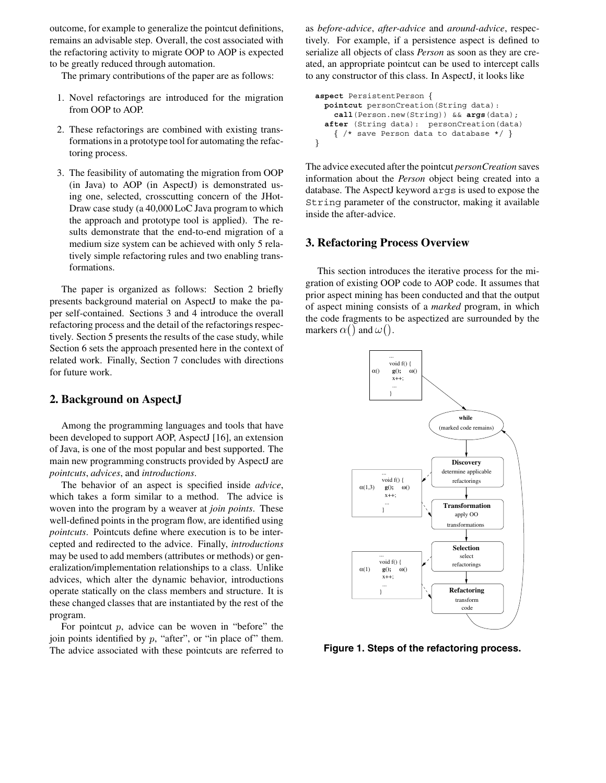outcome, for example to generalize the pointcut definitions, remains an advisable step. Overall, the cost associated with the refactoring activity to migrate OOP to AOP is expected to be greatly reduced through automation.

The primary contributions of the paper are as follows:

- 1. Novel refactorings are introduced for the migration from OOP to AOP.
- 2. These refactorings are combined with existing transformations in a prototype tool for automating the refactoring process.
- 3. The feasibility of automating the migration from OOP (in Java) to AOP (in AspectJ) is demonstrated using one, selected, crosscutting concern of the JHot-Draw case study (a 40,000 LoC Java program to which the approach and prototype tool is applied). The results demonstrate that the end-to-end migration of a medium size system can be achieved with only 5 relatively simple refactoring rules and two enabling transformations.

The paper is organized as follows: Section 2 briefly presents background material on AspectJ to make the paper self-contained. Sections 3 and 4 introduce the overall refactoring process and the detail of the refactorings respectively. Section 5 presents the results of the case study, while Section 6 sets the approach presented here in the context of related work. Finally, Section 7 concludes with directions for future work.

# **2. Background on AspectJ**

Among the programming languages and tools that have been developed to support AOP, AspectJ [16], an extension of Java, is one of the most popular and best supported. The main new programming constructs provided by AspectJ are *pointcuts*, *advices*, and *introductions*.

The behavior of an aspect is specified inside *advice*, which takes a form similar to a method. The advice is woven into the program by a weaver at *join points*. These well-defined points in the program flow, are identified using *pointcuts*. Pointcuts define where execution is to be intercepted and redirected to the advice. Finally, *introductions* may be used to add members (attributes or methods) or generalization/implementation relationships to a class. Unlike advices, which alter the dynamic behavior, introductions operate statically on the class members and structure. It is these changed classes that are instantiated by the rest of the program.

For pointcut  $p$ , advice can be woven in "before" the join points identified by  $p$ , "after", or "in place of" them. The advice associated with these pointcuts are referred to

as *before-advice*, *after-advice* and *around-advice*, respectively. For example, if a persistence aspect is defined to serialize all objects of class *Person* as soon as they are created, an appropriate pointcut can be used to intercept calls to any constructor of this class. In AspectJ, it looks like

```
aspect PersistentPerson 
pointcut personCreation(String data):
   call(Person.new(String)) && args(data);
 after (String data): personCreation(data)
   \{ /* save Person data to database */ \}\}
```
The advice executed after the pointcut *personCreation* saves information about the *Person* object being created into a database. The AspectJ keyword args is used to expose the String parameter of the constructor, making it available inside the after-advice.

### **3. Refactoring Process Overview**

This section introduces the iterative process for the migration of existing OOP code to AOP code. It assumes that prior aspect mining has been conducted and that the output of aspect mining consists of a *marked* program, in which the code fragments to be aspectized are surrounded by the markers  $\alpha$  () and  $\omega$  ().



**Figure 1. Steps of the refactoring process.**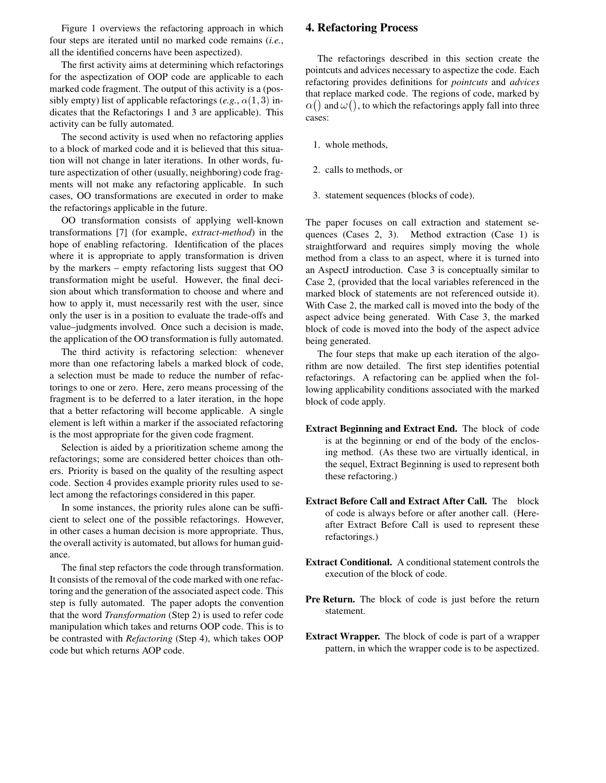Figure 1 overviews the refactoring approach in which four steps are iterated until no marked code remains (*i.e.*, all the identified concerns have been aspectized).

The first activity aims at determining which refactorings for the aspectization of OOP code are applicable to each marked code fragment. The output of this activity is a (possibly empty) list of applicable refactorings  $(e.g., \alpha(1, 3))$  indicates that the Refactorings 1 and 3 are applicable). This activity can be fully automated.

The second activity is used when no refactoring applies to a block of marked code and it is believed that this situation will not change in later iterations. In other words, future aspectization of other (usually, neighboring) code fragments will not make any refactoring applicable. In such cases, OO transformations are executed in order to make the refactorings applicable in the future.

OO transformation consists of applying well-known transformations [7] (for example, *extract-method*) in the hope of enabling refactoring. Identification of the places where it is appropriate to apply transformation is driven by the markers – empty refactoring lists suggest that OO transformation might be useful. However, the final decision about which transformation to choose and where and how to apply it, must necessarily rest with the user, since only the user is in a position to evaluate the trade-offs and value–judgments involved. Once such a decision is made, the application of the OO transformation is fully automated.

The third activity is refactoring selection: whenever more than one refactoring labels a marked block of code, a selection must be made to reduce the number of refactorings to one or zero. Here, zero means processing of the fragment is to be deferred to a later iteration, in the hope that a better refactoring will become applicable. A single element is left within a marker if the associated refactoring is the most appropriate for the given code fragment.

Selection is aided by a prioritization scheme among the refactorings; some are considered better choices than others. Priority is based on the quality of the resulting aspect code. Section 4 provides example priority rules used to select among the refactorings considered in this paper.

In some instances, the priority rules alone can be sufficient to select one of the possible refactorings. However, in other cases a human decision is more appropriate. Thus, the overall activity is automated, but allows for human guidance.

The final step refactors the code through transformation. It consists of the removal of the code marked with one refactoring and the generation of the associated aspect code. This step is fully automated. The paper adopts the convention that the word *Transformation* (Step 2) is used to refer code manipulation which takes and returns OOP code. This is to be contrasted with *Refactoring* (Step 4), which takes OOP code but which returns AOP code.

### **4. Refactoring Process**

The refactorings described in this section create the pointcuts and advices necessary to aspectize the code. Each refactoring provides definitions for *pointcuts* and *advices* that replace marked code. The regions of code, marked by  $\alpha$ () and  $\omega$ (), to which the refactorings apply fall into three cases:

- 1. whole methods,
- 2. calls to methods, or
- 3. statement sequences (blocks of code).

The paper focuses on call extraction and statement sequences (Cases 2, 3). Method extraction (Case 1) is straightforward and requires simply moving the whole method from a class to an aspect, where it is turned into an AspectJ introduction. Case 3 is conceptually similar to Case 2, (provided that the local variables referenced in the marked block of statements are not referenced outside it). With Case 2, the marked call is moved into the body of the aspect advice being generated. With Case 3, the marked block of code is moved into the body of the aspect advice being generated.

The four steps that make up each iteration of the algorithm are now detailed. The first step identifies potential refactorings. A refactoring can be applied when the following applicability conditions associated with the marked block of code apply.

- **Extract Beginning and Extract End.** The block of code is at the beginning or end of the body of the enclosing method. (As these two are virtually identical, in the sequel, Extract Beginning is used to represent both these refactoring.)
- **Extract Before Call and Extract After Call.** The block of code is always before or after another call. (Hereafter Extract Before Call is used to represent these refactorings.)
- **Extract Conditional.** A conditional statement controls the execution of the block of code.
- **Pre Return.** The block of code is just before the return statement.
- **Extract Wrapper.** The block of code is part of a wrapper pattern, in which the wrapper code is to be aspectized.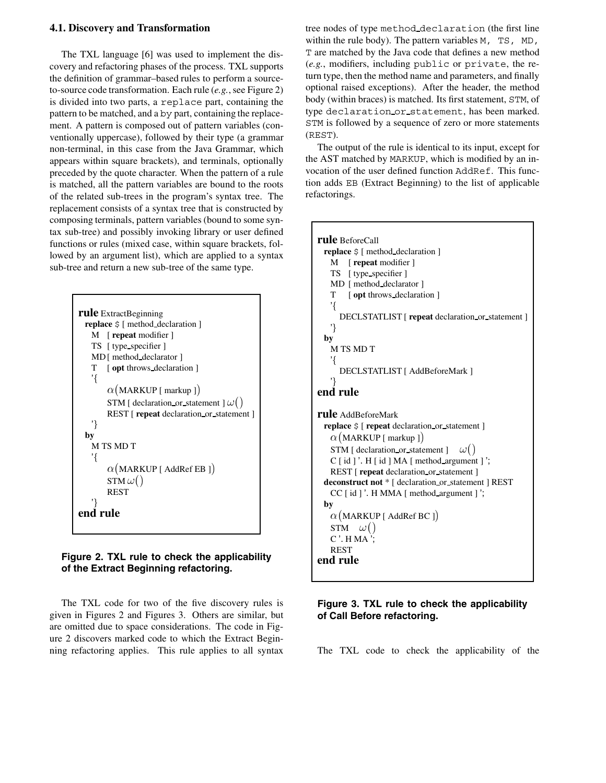### **4.1. Discovery and Transformation**

The TXL language [6] was used to implement the discovery and refactoring phases of the process. TXL supports the definition of grammar–based rules to perform a sourceto-source code transformation. Each rule (*e.g.*, see Figure 2) is divided into two parts, a replace part, containing the pattern to be matched, and a by part, containing the replacement. A pattern is composed out of pattern variables (conventionally uppercase), followed by their type (a grammar non-terminal, in this case from the Java Grammar, which appears within square brackets), and terminals, optionally preceded by the quote character. When the pattern of a rule is matched, all the pattern variables are bound to the roots of the related sub-trees in the program's syntax tree. The replacement consists of a syntax tree that is constructed by composing terminals, pattern variables (bound to some syntax sub-tree) and possibly invoking library or user defined functions or rules (mixed case, within square brackets, followed by an argument list), which are applied to a syntax sub-tree and return a new sub-tree of the same type.

| <b>rule</b> ExtractBeginning                        |                                              |  |  |  |  |
|-----------------------------------------------------|----------------------------------------------|--|--|--|--|
| <b>replace</b> $\frac{1}{2}$ [ method declaration ] |                                              |  |  |  |  |
|                                                     | M [repeat modifier]                          |  |  |  |  |
|                                                     | TS [ type_specifier ]                        |  |  |  |  |
| MD [ method_declarator ]                            |                                              |  |  |  |  |
| Т                                                   | [ opt throws declaration ]                   |  |  |  |  |
| '{                                                  |                                              |  |  |  |  |
|                                                     | $\alpha$ (MARKUP [markup])                   |  |  |  |  |
|                                                     | STM [ declaration_or_statement ] $\omega($ ) |  |  |  |  |
|                                                     | REST [ repeat declaration or statement ]     |  |  |  |  |
| "}                                                  |                                              |  |  |  |  |
| by                                                  |                                              |  |  |  |  |
| M TS MD T                                           |                                              |  |  |  |  |
| '{                                                  |                                              |  |  |  |  |
|                                                     | $\alpha$ (MARKUP [AddRef EB ])               |  |  |  |  |
|                                                     | STM $\omega()$                               |  |  |  |  |
|                                                     | <b>REST</b>                                  |  |  |  |  |
|                                                     |                                              |  |  |  |  |
| end rule                                            |                                              |  |  |  |  |
|                                                     |                                              |  |  |  |  |
|                                                     |                                              |  |  |  |  |

### **Figure 2. TXL rule to check the applicability of the Extract Beginning refactoring.**

The TXL code for two of the five discovery rules is given in Figures 2 and Figures 3. Others are similar, but are omitted due to space considerations. The code in Figure 2 discovers marked code to which the Extract Beginning refactoring applies. This rule applies to all syntax

tree nodes of type method declaration (the first line within the rule body). The pattern variables M, TS, MD, T are matched by the Java code that defines a new method (*e.g.*, modifiers, including public or private, the return type, then the method name and parameters, and finally optional raised exceptions). After the header, the method body (within braces) is matched. Its first statement, STM, of type declaration or statement, has been marked. STM is followed by a sequence of zero or more statements (REST).

The output of the rule is identical to its input, except for the AST matched by MARKUP, which is modified by an invocation of the user defined function AddRef. This function adds EB (Extract Beginning) to the list of applicable refactorings.

**rule** BeforeCall **replace** \$ [ method declaration ] M [ **repeat** modifier ] TS [ type specifier ] MD [ method declarator ] T [ **opt** throws declaration ]  $\left\{\begin{array}{ccc} \end{array}\right\}$ DECLSTATLIST [ **repeat** declaration or statement ] '} **by** M TS MD T  $\left\{\begin{array}{ccc} \end{array}\right\}$ DECLSTATLIST [ AddBeforeMark ] '} **end rule rule** AddBeforeMark **replace** \$ [ **repeat** declaration or statement ]  $\alpha$ (MARKUP [ markup ]) STM [ declaration or statement ]  $\omega()$  $C$  [ id ]'. H [ id ] MA [ method\_argument ]'; REST [ **repeat** declaration or statement ] **deconstruct not** \* [ declaration or statement ] REST CC [ id ] '. H MMA [ method argument ] '; **by**  $\alpha$ (MARKUP [ AddRef BC ]) STM  $\omega()$ C '. H MA '; REST **end rule**

### **Figure 3. TXL rule to check the applicability of Call Before refactoring.**

The TXL code to check the applicability of the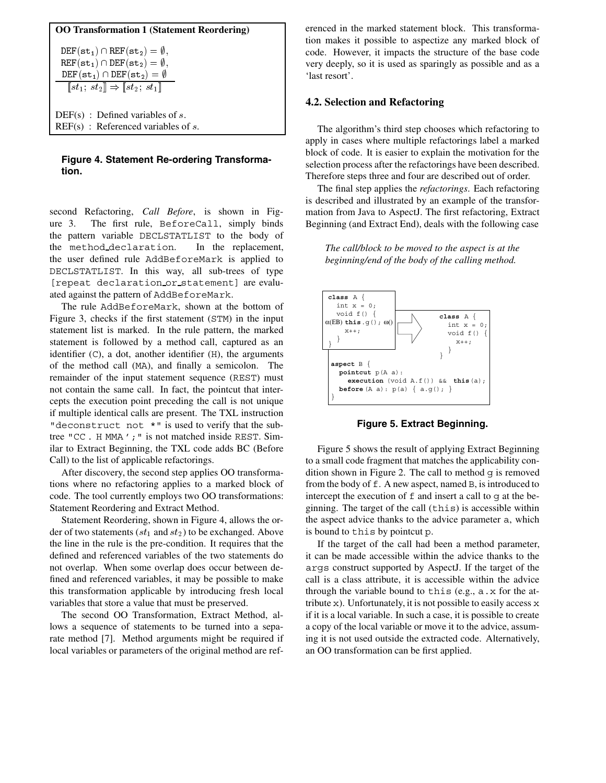| <b>OO Transformation 1 (Statement Reordering)</b>                                    |  |  |  |  |  |
|--------------------------------------------------------------------------------------|--|--|--|--|--|
| $DEF(st_1) \cap REF(st_2) = \emptyset$ ,<br>$REF(st_1) \cap DEF(st_2) = \emptyset,$  |  |  |  |  |  |
| $DEF(st_1) \cap DEF(st_2) = \emptyset$<br>$[[st_1; st_2] \Rightarrow [[st_2; st_1]]$ |  |  |  |  |  |
| $DEF(s)$ : Defined variables of s.                                                   |  |  |  |  |  |
| $REF(s)$ : Referenced variables of s.                                                |  |  |  |  |  |

# **Figure 4. Statement Re-ordering Transformation.**

second Refactoring, *Call Before*, is shown in Figure 3. The first rule, BeforeCall, simply binds the pattern variable DECLSTATLIST to the body of the method declaration. In the replacement, the user defined rule AddBeforeMark is applied to DECLSTATLIST. In this way, all sub-trees of type [repeat declaration or statement] are evaluated against the pattern of AddBeforeMark.

The rule AddBeforeMark, shown at the bottom of Figure 3, checks if the first statement (STM) in the input statement list is marked. In the rule pattern, the marked statement is followed by a method call, captured as an identifier (C), a dot, another identifier (H), the arguments of the method call (MA), and finally a semicolon. The remainder of the input statement sequence (REST) must not contain the same call. In fact, the pointcut that intercepts the execution point preceding the call is not unique if multiple identical calls are present. The TXL instruction "deconstruct not  $*$ " is used to verify that the subtree "CC . H MMA ';" is not matched inside REST. Similar to Extract Beginning, the TXL code adds BC (Before Call) to the list of applicable refactorings.

After discovery, the second step applies OO transformations where no refactoring applies to a marked block of code. The tool currently employs two OO transformations: Statement Reordering and Extract Method.

Statement Reordering, shown in Figure 4, allows the order of two statements ( $st_1$  and  $st_2$ ) to be exchanged. Above the line in the rule is the pre-condition. It requires that the defined and referenced variables of the two statements do not overlap. When some overlap does occur between defined and referenced variables, it may be possible to make this transformation applicable by introducing fresh local variables that store a value that must be preserved.

The second OO Transformation, Extract Method, allows a sequence of statements to be turned into a separate method [7]. Method arguments might be required if local variables or parameters of the original method are referenced in the marked statement block. This transformation makes it possible to aspectize any marked block of code. However, it impacts the structure of the base code very deeply, so it is used as sparingly as possible and as a 'last resort'.

### **4.2. Selection and Refactoring**

The algorithm's third step chooses which refactoring to apply in cases where multiple refactorings label a marked block of code. It is easier to explain the motivation for the selection process after the refactorings have been described. Therefore steps three and four are described out of order.

The final step applies the *refactorings*. Each refactoring is described and illustrated by an example of the transformation from Java to AspectJ. The first refactoring, Extract Beginning (and Extract End), deals with the following case

*The call/block to be moved to the aspect is at the beginning/end of the body of the calling method.*



**Figure 5. Extract Beginning.**

Figure 5 shows the result of applying Extract Beginning to a small code fragment that matches the applicability condition shown in Figure 2. The call to method g is removed from the body of f. A new aspect, named B, is introduced to intercept the execution of  $f$  and insert a call to  $g$  at the beginning. The target of the call (this) is accessible within the aspect advice thanks to the advice parameter a, which is bound to this by pointcut p.

If the target of the call had been a method parameter, it can be made accessible within the advice thanks to the args construct supported by AspectJ. If the target of the call is a class attribute, it is accessible within the advice through the variable bound to this (e.g.,  $a \cdot x$  for the attribute  $x$ ). Unfortunately, it is not possible to easily access  $x$ if it is a local variable. In such a case, it is possible to create a copy of the local variable or move it to the advice, assuming it is not used outside the extracted code. Alternatively, an OO transformation can be first applied.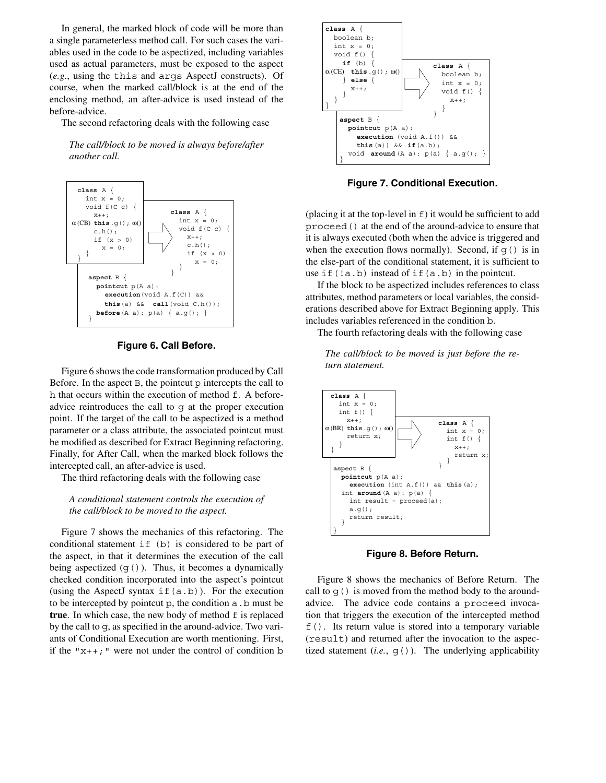In general, the marked block of code will be more than a single parameterless method call. For such cases the variables used in the code to be aspectized, including variables used as actual parameters, must be exposed to the aspect (*e.g.*, using the this and args AspectJ constructs). Of course, when the marked call/block is at the end of the enclosing method, an after-advice is used instead of the before-advice.

The second refactoring deals with the following case

*The call/block to be moved is always before/after another call.*



**Figure 6. Call Before.**

Figure 6 shows the code transformation produced by Call Before. In the aspect B, the pointcut p intercepts the call to h that occurs within the execution of method f. A beforeadvice reintroduces the call to g at the proper execution point. If the target of the call to be aspectized is a method parameter or a class attribute, the associated pointcut must be modified as described for Extract Beginning refactoring. Finally, for After Call, when the marked block follows the intercepted call, an after-advice is used.

The third refactoring deals with the following case

## *A conditional statement controls the execution of the call/block to be moved to the aspect.*

Figure 7 shows the mechanics of this refactoring. The conditional statement if (b) is considered to be part of the aspect, in that it determines the execution of the call being aspectized  $(g()$ ). Thus, it becomes a dynamically checked condition incorporated into the aspect's pointcut (using the AspectJ syntax  $if(a.b)$ ). For the execution to be intercepted by pointcut  $p$ , the condition  $a$ .  $b$  must be **true**. In which case, the new body of method f is replaced by the call to g, as specified in the around-advice. Two variants of Conditional Execution are worth mentioning. First, if the " $x++$ ;" were not under the control of condition b



**Figure 7. Conditional Execution.**

(placing it at the top-level in f) it would be sufficient to add proceed() at the end of the around-advice to ensure that it is always executed (both when the advice is triggered and when the execution flows normally). Second, if  $g()$  is in the else-part of the conditional statement, it is sufficient to use if  $(la.b)$  instead of if  $(a.b)$  in the pointcut.

If the block to be aspectized includes references to class attributes, method parameters or local variables, the considerations described above for Extract Beginning apply. This includes variables referenced in the condition b.

The fourth refactoring deals with the following case

*The call/block to be moved is just before the return statement.*



**Figure 8. Before Return.**

Figure 8 shows the mechanics of Before Return. The call to g() is moved from the method body to the aroundadvice. The advice code contains a proceed invocation that triggers the execution of the intercepted method f(). Its return value is stored into a temporary variable (result) and returned after the invocation to the aspectized statement (*i.e.*, g()). The underlying applicability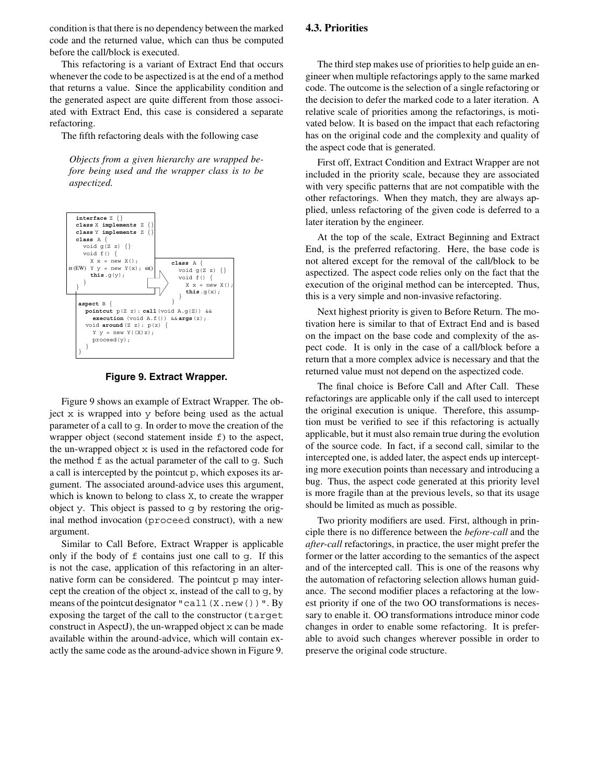condition is that there is no dependency between the marked code and the returned value, which can thus be computed before the call/block is executed.

This refactoring is a variant of Extract End that occurs whenever the code to be aspectized is at the end of a method that returns a value. Since the applicability condition and the generated aspect are quite different from those associated with Extract End, this case is considered a separate refactoring.

The fifth refactoring deals with the following case

*Objects from a given hierarchy are wrapped before being used and the wrapper class is to be aspectized.*



#### **Figure 9. Extract Wrapper.**

Figure 9 shows an example of Extract Wrapper. The object x is wrapped into y before being used as the actual parameter of a call to g. In order to move the creation of the wrapper object (second statement inside f) to the aspect, the un-wrapped object x is used in the refactored code for the method f as the actual parameter of the call to g. Such a call is intercepted by the pointcut p, which exposes its argument. The associated around-advice uses this argument, which is known to belong to class X, to create the wrapper object y. This object is passed to g by restoring the original method invocation (proceed construct), with a new argument.

Similar to Call Before, Extract Wrapper is applicable only if the body of f contains just one call to g. If this is not the case, application of this refactoring in an alternative form can be considered. The pointcut p may intercept the creation of the object x, instead of the call to g, by means of the pointcut designator "call (X.new())". By exposing the target of the call to the constructor (target construct in AspectJ), the un-wrapped object x can be made available within the around-advice, which will contain exactly the same code as the around-advice shown in Figure 9.

### **4.3. Priorities**

The third step makes use of priorities to help guide an engineer when multiple refactorings apply to the same marked code. The outcome is the selection of a single refactoring or the decision to defer the marked code to a later iteration. A relative scale of priorities among the refactorings, is motivated below. It is based on the impact that each refactoring has on the original code and the complexity and quality of the aspect code that is generated.

First off, Extract Condition and Extract Wrapper are not included in the priority scale, because they are associated with very specific patterns that are not compatible with the other refactorings. When they match, they are always applied, unless refactoring of the given code is deferred to a later iteration by the engineer.

At the top of the scale, Extract Beginning and Extract End, is the preferred refactoring. Here, the base code is not altered except for the removal of the call/block to be aspectized. The aspect code relies only on the fact that the execution of the original method can be intercepted. Thus, this is a very simple and non-invasive refactoring.

Next highest priority is given to Before Return. The motivation here is similar to that of Extract End and is based on the impact on the base code and complexity of the aspect code. It is only in the case of a call/block before a return that a more complex advice is necessary and that the returned value must not depend on the aspectized code.

The final choice is Before Call and After Call. These refactorings are applicable only if the call used to intercept the original execution is unique. Therefore, this assumption must be verified to see if this refactoring is actually applicable, but it must also remain true during the evolution of the source code. In fact, if a second call, similar to the intercepted one, is added later, the aspect ends up intercepting more execution points than necessary and introducing a bug. Thus, the aspect code generated at this priority level is more fragile than at the previous levels, so that its usage should be limited as much as possible.

Two priority modifiers are used. First, although in principle there is no difference between the *before-call* and the *after-call* refactorings, in practice, the user might prefer the former or the latter according to the semantics of the aspect and of the intercepted call. This is one of the reasons why the automation of refactoring selection allows human guidance. The second modifier places a refactoring at the lowest priority if one of the two OO transformations is necessary to enable it. OO transformations introduce minor code changes in order to enable some refactoring. It is preferable to avoid such changes wherever possible in order to preserve the original code structure.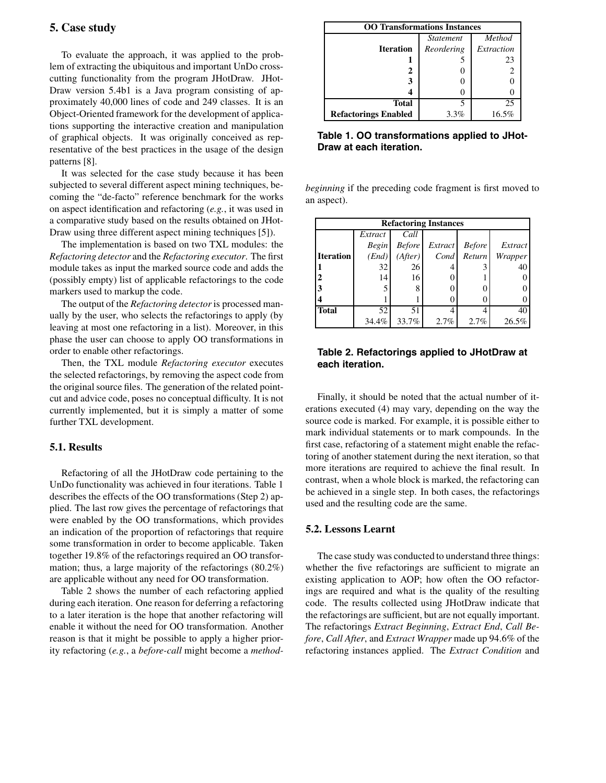## **5. Case study**

To evaluate the approach, it was applied to the problem of extracting the ubiquitous and important UnDo crosscutting functionality from the program JHotDraw. JHot-Draw version 5.4b1 is a Java program consisting of approximately 40,000 lines of code and 249 classes. It is an Object-Oriented framework for the development of applications supporting the interactive creation and manipulation of graphical objects. It was originally conceived as representative of the best practices in the usage of the design patterns [8].

It was selected for the case study because it has been subjected to several different aspect mining techniques, becoming the "de-facto" reference benchmark for the works on aspect identification and refactoring (*e.g.*, it was used in a comparative study based on the results obtained on JHot-Draw using three different aspect mining techniques [5]).

The implementation is based on two TXL modules: the *Refactoring detector* and the *Refactoring executor*. The first module takes as input the marked source code and adds the (possibly empty) list of applicable refactorings to the code markers used to markup the code.

The output of the *Refactoring detector*is processed manually by the user, who selects the refactorings to apply (by leaving at most one refactoring in a list). Moreover, in this phase the user can choose to apply OO transformations in order to enable other refactorings.

Then, the TXL module *Refactoring executor* executes the selected refactorings, by removing the aspect code from the original source files. The generation of the related pointcut and advice code, poses no conceptual difficulty. It is not currently implemented, but it is simply a matter of some further TXL development.

### **5.1. Results**

Refactoring of all the JHotDraw code pertaining to the UnDo functionality was achieved in four iterations. Table 1 describes the effects of the OO transformations (Step 2) applied. The last row gives the percentage of refactorings that were enabled by the OO transformations, which provides an indication of the proportion of refactorings that require some transformation in order to become applicable. Taken together 19.8% of the refactorings required an OO transformation; thus, a large majority of the refactorings (80.2%) are applicable without any need for OO transformation.

Table 2 shows the number of each refactoring applied during each iteration. One reason for deferring a refactoring to a later iteration is the hope that another refactoring will enable it without the need for OO transformation. Another reason is that it might be possible to apply a higher priority refactoring (*e.g.*, a *before-call* might become a *method-*

| <b>OO Transformations Instances</b> |                  |            |  |  |  |  |
|-------------------------------------|------------------|------------|--|--|--|--|
|                                     | <b>Statement</b> | Method     |  |  |  |  |
| <b>Iteration</b>                    | Reordering       | Extraction |  |  |  |  |
|                                     |                  | 23         |  |  |  |  |
| 2                                   |                  |            |  |  |  |  |
| 3                                   |                  |            |  |  |  |  |
|                                     |                  |            |  |  |  |  |
| <b>Total</b>                        |                  | 25         |  |  |  |  |
| <b>Refactorings Enabled</b>         | $3.3\%$          | 16.5%      |  |  |  |  |

**Table 1. OO transformations applied to JHot-Draw at each iteration.**

*beginning* if the preceding code fragment is first moved to an aspect).

| <b>Refactoring Instances</b> |         |               |          |               |         |  |  |  |
|------------------------------|---------|---------------|----------|---------------|---------|--|--|--|
|                              | Extract | Call          |          |               |         |  |  |  |
|                              | Begin   | <b>Before</b> | Extract  | <b>Before</b> | Extract |  |  |  |
| <b>Iteration</b>             | (End)   | (After)       | Cond     | Return        | Wrapper |  |  |  |
|                              | 32      | 26            |          |               | 40      |  |  |  |
|                              | 14      | 16            |          |               |         |  |  |  |
|                              | 5       | 8             | $\theta$ |               |         |  |  |  |
|                              |         |               |          |               |         |  |  |  |
| <b>Total</b>                 | 52      | 51            |          |               | 40      |  |  |  |
|                              | 34.4%   | 33.7%         | 2.7%     | 2.7%          | 26.5%   |  |  |  |

# **Table 2. Refactorings applied to JHotDraw at each iteration.**

Finally, it should be noted that the actual number of iterations executed (4) may vary, depending on the way the source code is marked. For example, it is possible either to mark individual statements or to mark compounds. In the first case, refactoring of a statement might enable the refactoring of another statement during the next iteration, so that more iterations are required to achieve the final result. In contrast, when a whole block is marked, the refactoring can be achieved in a single step. In both cases, the refactorings used and the resulting code are the same.

### **5.2. Lessons Learnt**

The case study was conducted to understand three things: whether the five refactorings are sufficient to migrate an existing application to AOP; how often the OO refactorings are required and what is the quality of the resulting code. The results collected using JHotDraw indicate that the refactorings are sufficient, but are not equally important. The refactorings *Extract Beginning*, *Extract End*, *Call Before*, *Call After*, and *Extract Wrapper* made up 94.6% of the refactoring instances applied. The *Extract Condition* and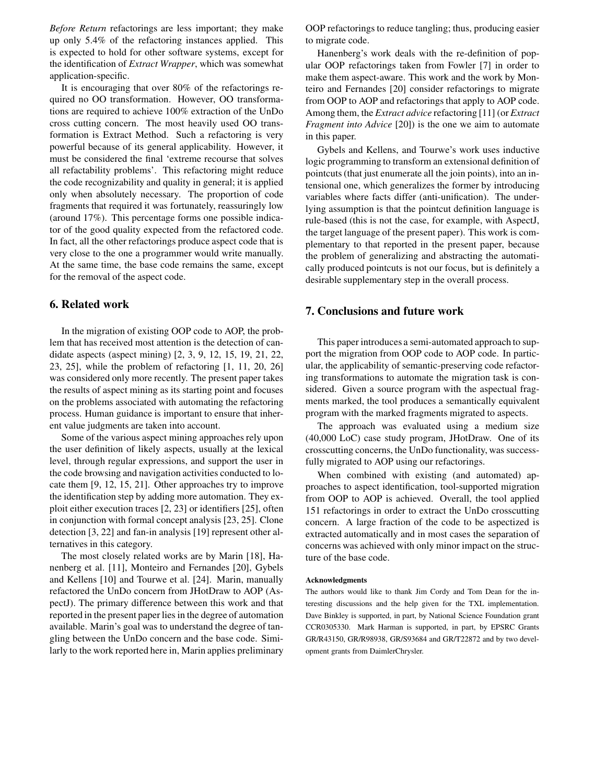*Before Return* refactorings are less important; they make up only 5.4% of the refactoring instances applied. This is expected to hold for other software systems, except for the identification of *Extract Wrapper*, which was somewhat application-specific.

It is encouraging that over 80% of the refactorings required no OO transformation. However, OO transformations are required to achieve 100% extraction of the UnDo cross cutting concern. The most heavily used OO transformation is Extract Method. Such a refactoring is very powerful because of its general applicability. However, it must be considered the final 'extreme recourse that solves all refactability problems'. This refactoring might reduce the code recognizability and quality in general; it is applied only when absolutely necessary. The proportion of code fragments that required it was fortunately, reassuringly low (around 17%). This percentage forms one possible indicator of the good quality expected from the refactored code. In fact, all the other refactorings produce aspect code that is very close to the one a programmer would write manually. At the same time, the base code remains the same, except for the removal of the aspect code.

### **6. Related work**

In the migration of existing OOP code to AOP, the problem that has received most attention is the detection of candidate aspects (aspect mining) [2, 3, 9, 12, 15, 19, 21, 22, 23, 25], while the problem of refactoring [1, 11, 20, 26] was considered only more recently. The present paper takes the results of aspect mining as its starting point and focuses on the problems associated with automating the refactoring process. Human guidance is important to ensure that inherent value judgments are taken into account.

Some of the various aspect mining approaches rely upon the user definition of likely aspects, usually at the lexical level, through regular expressions, and support the user in the code browsing and navigation activities conducted to locate them [9, 12, 15, 21]. Other approaches try to improve the identification step by adding more automation. They exploit either execution traces [2, 23] or identifiers [25], often in conjunction with formal concept analysis [23, 25]. Clone detection [3, 22] and fan-in analysis [19] represent other alternatives in this category.

The most closely related works are by Marin [18], Hanenberg et al. [11], Monteiro and Fernandes [20], Gybels and Kellens [10] and Tourwe et al. [24]. Marin, manually refactored the UnDo concern from JHotDraw to AOP (AspectJ). The primary difference between this work and that reported in the present paper lies in the degree of automation available. Marin's goal was to understand the degree of tangling between the UnDo concern and the base code. Similarly to the work reported here in, Marin applies preliminary OOP refactorings to reduce tangling; thus, producing easier to migrate code.

Hanenberg's work deals with the re-definition of popular OOP refactorings taken from Fowler [7] in order to make them aspect-aware. This work and the work by Monteiro and Fernandes [20] consider refactorings to migrate from OOP to AOP and refactorings that apply to AOP code. Among them, the *Extract advice* refactoring [11] (or *Extract Fragment into Advice* [20]) is the one we aim to automate in this paper.

Gybels and Kellens, and Tourwe's work uses inductive logic programming to transform an extensional definition of pointcuts (that just enumerate all the join points), into an intensional one, which generalizes the former by introducing variables where facts differ (anti-unification). The underlying assumption is that the pointcut definition language is rule-based (this is not the case, for example, with AspectJ, the target language of the present paper). This work is complementary to that reported in the present paper, because the problem of generalizing and abstracting the automatically produced pointcuts is not our focus, but is definitely a desirable supplementary step in the overall process.

## **7. Conclusions and future work**

This paper introduces a semi-automated approach to support the migration from OOP code to AOP code. In particular, the applicability of semantic-preserving code refactoring transformations to automate the migration task is considered. Given a source program with the aspectual fragments marked, the tool produces a semantically equivalent program with the marked fragments migrated to aspects.

The approach was evaluated using a medium size (40,000 LoC) case study program, JHotDraw. One of its crosscutting concerns, the UnDo functionality, was successfully migrated to AOP using our refactorings.

When combined with existing (and automated) approaches to aspect identification, tool-supported migration from OOP to AOP is achieved. Overall, the tool applied 151 refactorings in order to extract the UnDo crosscutting concern. A large fraction of the code to be aspectized is extracted automatically and in most cases the separation of concerns was achieved with only minor impact on the structure of the base code.

#### **Acknowledgments**

The authors would like to thank Jim Cordy and Tom Dean for the interesting discussions and the help given for the TXL implementation. Dave Binkley is supported, in part, by National Science Foundation grant CCR0305330. Mark Harman is supported, in part, by EPSRC Grants GR/R43150, GR/R98938, GR/S93684 and GR/T22872 and by two development grants from DaimlerChrysler.